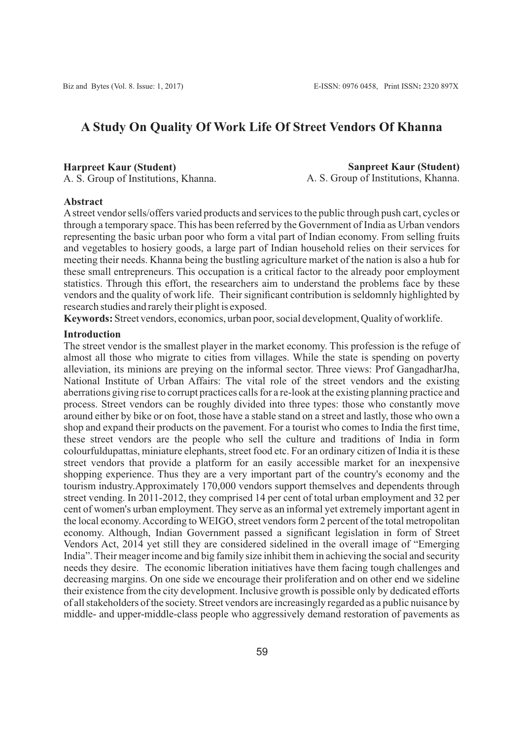# **A Study On Quality Of Work Life Of Street Vendors Of Khanna**

#### **Harpreet Kaur (Student)**

A. S. Group of Institutions, Khanna.

**Sanpreet Kaur (Student)** A. S. Group of Institutions, Khanna.

#### **Abstract**

Astreet vendor sells/offers varied products and services to the public through push cart, cycles or through a temporary space. This has been referred by the Government of India as Urban vendors representing the basic urban poor who form a vital part of Indian economy. From selling fruits and vegetables to hosiery goods, a large part of Indian household relies on their services for meeting their needs. Khanna being the bustling agriculture market of the nation is also a hub for these small entrepreneurs. This occupation is a critical factor to the already poor employment statistics. Through this effort, the researchers aim to understand the problems face by these vendors and the quality of work life. Their significant contribution is seldomnly highlighted by research studies and rarely their plight is exposed.

**Keywords:** Street vendors, economics, urban poor, social development, Quality of worklife.

#### **Introduction**

The street vendor is the smallest player in the market economy. This profession is the refuge of almost all those who migrate to cities from villages. While the state is spending on poverty alleviation, its minions are preying on the informal sector. Three views: Prof GangadharJha, National Institute of Urban Affairs: The vital role of the street vendors and the existing aberrations giving rise to corrupt practices calls for a re-look at the existing planning practice and process. Street vendors can be roughly divided into three types: those who constantly move around either by bike or on foot, those have a stable stand on a street and lastly, those who own a shop and expand their products on the pavement. For a tourist who comes to India the first time, these street vendors are the people who sell the culture and traditions of India in form colourfuldupattas, miniature elephants, street food etc. For an ordinary citizen of India it is these street vendors that provide a platform for an easily accessible market for an inexpensive shopping experience. Thus they are a very important part of the country's economy and the tourism industry.Approximately 170,000 vendors support themselves and dependents through street vending. In 2011-2012, they comprised 14 per cent of total urban employment and 32 per cent of women's urban employment. They serve as an informal yet extremely important agent in the local economy. According to WEIGO, street vendors form 2 percent of the total metropolitan economy. Although, Indian Government passed a significant legislation in form of Street Vendors Act, 2014 yet still they are considered sidelined in the overall image of "Emerging India". Their meager income and big family size inhibit them in achieving the social and security needs they desire. The economic liberation initiatives have them facing tough challenges and decreasing margins. On one side we encourage their proliferation and on other end we sideline their existence from the city development. Inclusive growth is possible only by dedicated efforts of all stakeholders of the society. Street vendors are increasingly regarded as a public nuisance by middle- and upper-middle-class people who aggressively demand restoration of pavements as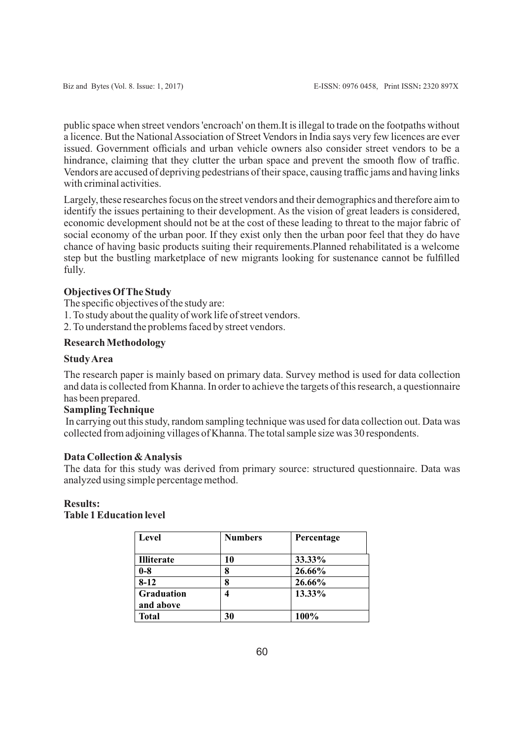public space when street vendors 'encroach' on them.It is illegal to trade on the footpaths without a licence. But the National Association of Street Vendors in India says very few licences are ever issued. Government officials and urban vehicle owners also consider street vendors to be a hindrance, claiming that they clutter the urban space and prevent the smooth flow of traffic. Vendors are accused of depriving pedestrians of their space, causing traffic jams and having links with criminal activities.

Largely, these researches focus on the street vendors and their demographics and therefore aim to identify the issues pertaining to their development. As the vision of great leaders is considered, economic development should not be at the cost of these leading to threat to the major fabric of social economy of the urban poor. If they exist only then the urban poor feel that they do have chance of having basic products suiting their requirements.Planned rehabilitated is a welcome step but the bustling marketplace of new migrants looking for sustenance cannot be fulfilled fully.

## **Objectives Of The Study**

The specific objectives of the study are:

1. To study about the quality of work life of street vendors.

2. To understand the problems faced by street vendors.

# **Research Methodology**

#### **Study Area**

The research paper is mainly based on primary data. Survey method is used for data collection and data is collected from Khanna. In order to achieve the targets of this research, a questionnaire has been prepared.

# **Sampling Technique**

In carrying out this study, random sampling technique was used for data collection out. Data was collected from adjoining villages of Khanna. The total sample size was 30 respondents.

#### **Data Collection & Analysis**

The data for this study was derived from primary source: structured questionnaire. Data was analyzed using simple percentage method.

# **Results:**

# **Table 1 Education level**

| Level                   | <b>Numbers</b> | Percentage |
|-------------------------|----------------|------------|
| <b>Illiterate</b>       | 10             | 33.33%     |
| $0-8$                   | 8              | 26.66%     |
| $8 - 12$                | 8              | 26.66%     |
| Graduation<br>and above |                | 13.33%     |
| <b>Total</b>            | 30             | 100%       |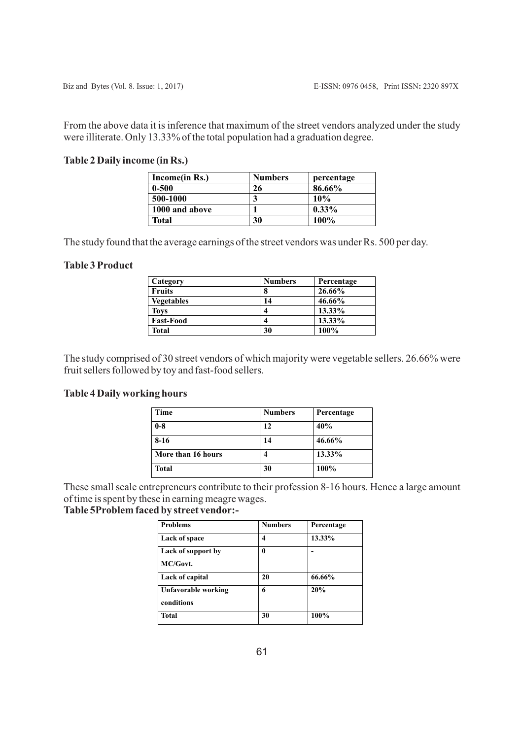From the above data it is inference that maximum of the street vendors analyzed under the study were illiterate. Only 13.33% of the total population had a graduation degree.

# **Table 2 Daily income (in Rs.)**

| Income(in Rs.) | <b>Numbers</b> | percentage |
|----------------|----------------|------------|
| $0 - 500$      | 26             | 86.66%     |
| 500-1000       |                | 10%        |
| 1000 and above |                | $0.33\%$   |
| Total          | 30             | 100%       |

The study found that the average earnings of the street vendors was under Rs. 500 per day.

# **Table 3 Product**

| Category          | <b>Numbers</b> | Percentage |
|-------------------|----------------|------------|
| <b>Fruits</b>     | 8              | 26.66%     |
| <b>Vegetables</b> | 14             | 46.66%     |
| <b>Toys</b>       | 4              | 13.33%     |
| <b>Fast-Food</b>  |                | 13.33%     |
| <b>Total</b>      | 30             | 100%       |

The study comprised of 30 street vendors of which majority were vegetable sellers. 26.66% were fruit sellers followed by toy and fast-food sellers.

# **Table 4 Daily working hours**

| Time               | <b>Numbers</b> | Percentage |
|--------------------|----------------|------------|
| $0-8$              | 12             | 40%        |
| $8-16$             | 14             | 46.66%     |
| More than 16 hours | 4              | 13.33%     |
| <b>Total</b>       | 30             | 100%       |

These small scale entrepreneurs contribute to their profession 8-16 hours. Hence a large amount of time is spent by these in earning meagre wages.

# **Table 5Problem faced by street vendor:-**

| <b>Problems</b>     | <b>Numbers</b> | Percentage |
|---------------------|----------------|------------|
| Lack of space       | 4              | 13.33%     |
| Lack of support by  | 0              |            |
| MC/Govt.            |                |            |
| Lack of capital     | 20             | 66.66%     |
| Unfavorable working | 6              | 20%        |
| conditions          |                |            |
| <b>Total</b>        | 30             | 100%       |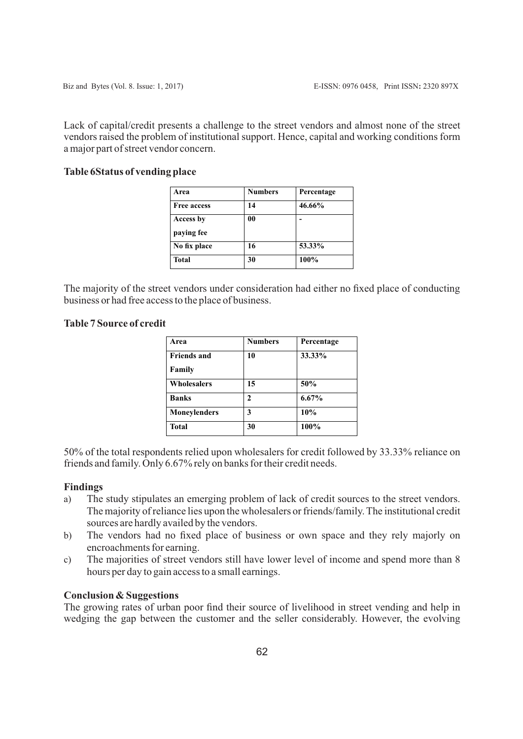Lack of capital/credit presents a challenge to the street vendors and almost none of the street vendors raised the problem of institutional support. Hence, capital and working conditions form a major part of street vendor concern.

## **Table 6Status of vending place**

| Area               | <b>Numbers</b> | Percentage |
|--------------------|----------------|------------|
| <b>Free access</b> | 14             | 46.66%     |
| Access by          | 00             |            |
| paying fee         |                |            |
| No fix place       | 16             | 53.33%     |
| <b>Total</b>       | 30             | 100%       |

The majority of the street vendors under consideration had either no fixed place of conducting business or had free access to the place of business.

# **Table 7 Source of credit**

| Area                | <b>Numbers</b> | Percentage |
|---------------------|----------------|------------|
| <b>Friends and</b>  | 10             | 33.33%     |
| Family              |                |            |
| Wholesalers         | 15             | 50%        |
| <b>Banks</b>        | 2              | 6.67%      |
| <b>Moneylenders</b> | 3              | 10%        |
| <b>Total</b>        | 30             | 100%       |

50% of the total respondents relied upon wholesalers for credit followed by 33.33% reliance on friends and family. Only 6.67% rely on banks for their credit needs.

## **Findings**

- a) The study stipulates an emerging problem of lack of credit sources to the street vendors. The majority of reliance lies upon the wholesalers or friends/family. The institutional credit sources are hardly availed by the vendors.
- b) The vendors had no fixed place of business or own space and they rely majorly on encroachments for earning.
- c) The majorities of street vendors still have lower level of income and spend more than 8 hours per day to gain access to a small earnings.

## **Conclusion & Suggestions**

The growing rates of urban poor find their source of livelihood in street vending and help in wedging the gap between the customer and the seller considerably. However, the evolving